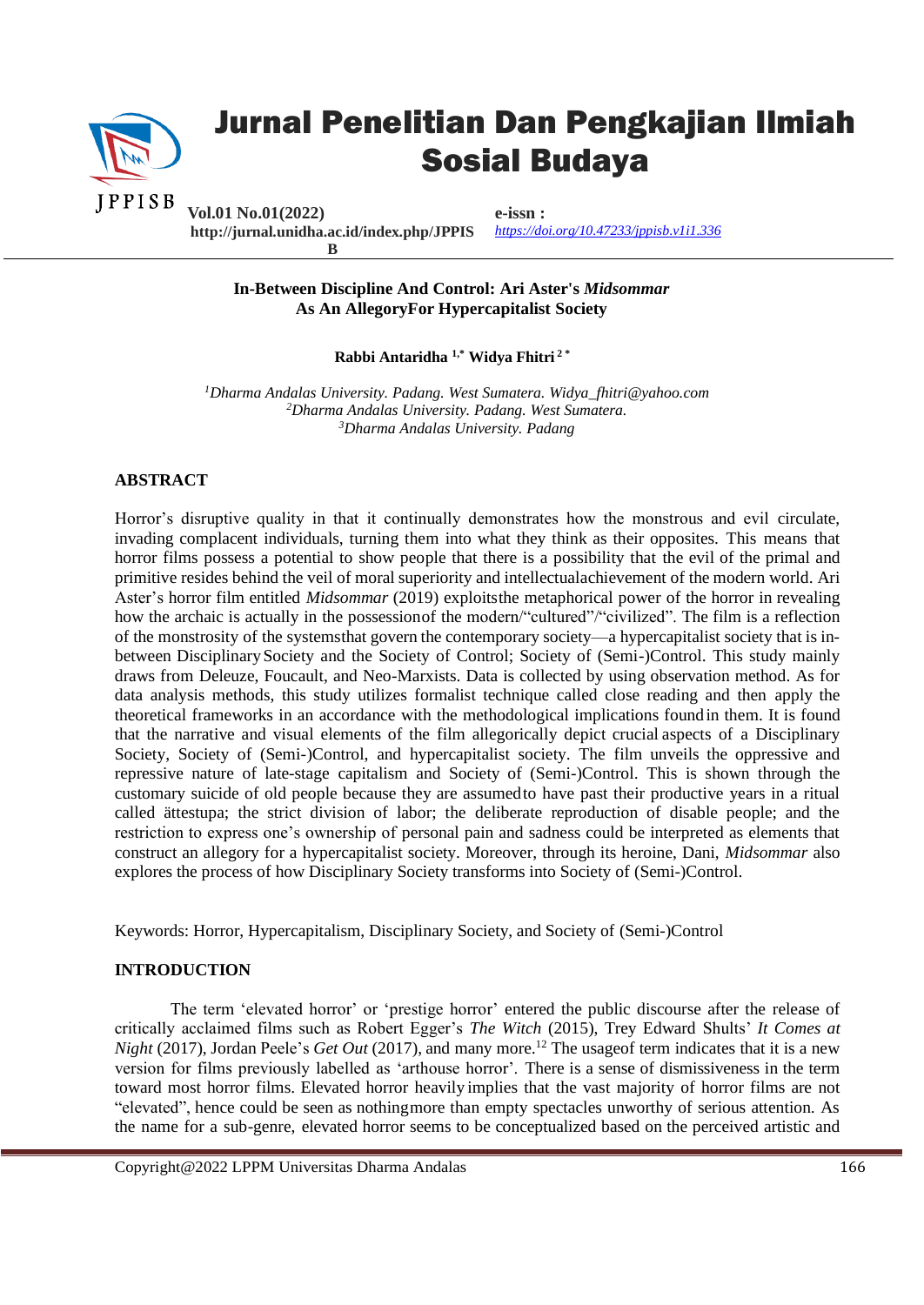

# Jurnal Penelitian Dan Pengkajian Ilmiah Sosial Budaya

**Vol.01 No.01(2022) http://jurnal.unidha.ac.id/index.php/JPPIS B**

**e-issn :** *<https://doi.org/10.47233/jppisb.v1i1.336>*

**In-Between Discipline And Control: Ari Aster's** *Midsommar*  **As An AllegoryFor Hypercapitalist Society**

**Rabbi Antaridha 1,\* Widya Fhitri 2 \*** 

*<sup>1</sup>Dharma Andalas University. Padang. West Sumatera. Widya\_fhitri@yahoo.com <sup>2</sup>Dharma Andalas University. Padang. West Sumatera. <sup>3</sup>Dharma Andalas University. Padang*

# **ABSTRACT**

Horror's disruptive quality in that it continually demonstrates how the monstrous and evil circulate, invading complacent individuals, turning them into what they think as their opposites. This means that horror films possess a potential to show people that there is a possibility that the evil of the primal and primitive resides behind the veil of moral superiority and intellectualachievement of the modern world. Ari Aster's horror film entitled *Midsommar* (2019) exploitsthe metaphorical power of the horror in revealing how the archaic is actually in the possession of the modern/"cultured"/"civilized". The film is a reflection of the monstrosity of the systemsthat govern the contemporary society—a hypercapitalist society that is inbetween DisciplinarySociety and the Society of Control; Society of (Semi-)Control. This study mainly draws from Deleuze, Foucault, and Neo-Marxists. Data is collected by using observation method. As for data analysis methods, this study utilizes formalist technique called close reading and then apply the theoretical frameworks in an accordance with the methodological implications foundin them. It is found that the narrative and visual elements of the film allegorically depict crucial aspects of a Disciplinary Society, Society of (Semi-)Control, and hypercapitalist society. The film unveils the oppressive and repressive nature of late-stage capitalism and Society of (Semi-)Control. This is shown through the customary suicide of old people because they are assumedto have past their productive years in a ritual called ättestupa; the strict division of labor; the deliberate reproduction of disable people; and the restriction to express one's ownership of personal pain and sadness could be interpreted as elements that construct an allegory for a hypercapitalist society. Moreover, through its heroine, Dani, *Midsommar* also explores the process of how Disciplinary Society transforms into Society of (Semi-)Control.

Keywords: Horror, Hypercapitalism, Disciplinary Society, and Society of (Semi-)Control

# **INTRODUCTION**

The term 'elevated horror' or 'prestige horror' entered the public discourse after the release of critically acclaimed films such as Robert Egger's *The Witch* (2015), Trey Edward Shults' *It Comes at Night* (2017), Jordan Peele's *Get Out* (2017), and many more.<sup>12</sup> The usageof term indicates that it is a new version for films previously labelled as 'arthouse horror'. There is a sense of dismissiveness in the term toward most horror films. Elevated horror heavily implies that the vast majority of horror films are not "elevated", hence could be seen as nothingmore than empty spectacles unworthy of serious attention. As the name for a sub-genre, elevated horror seems to be conceptualized based on the perceived artistic and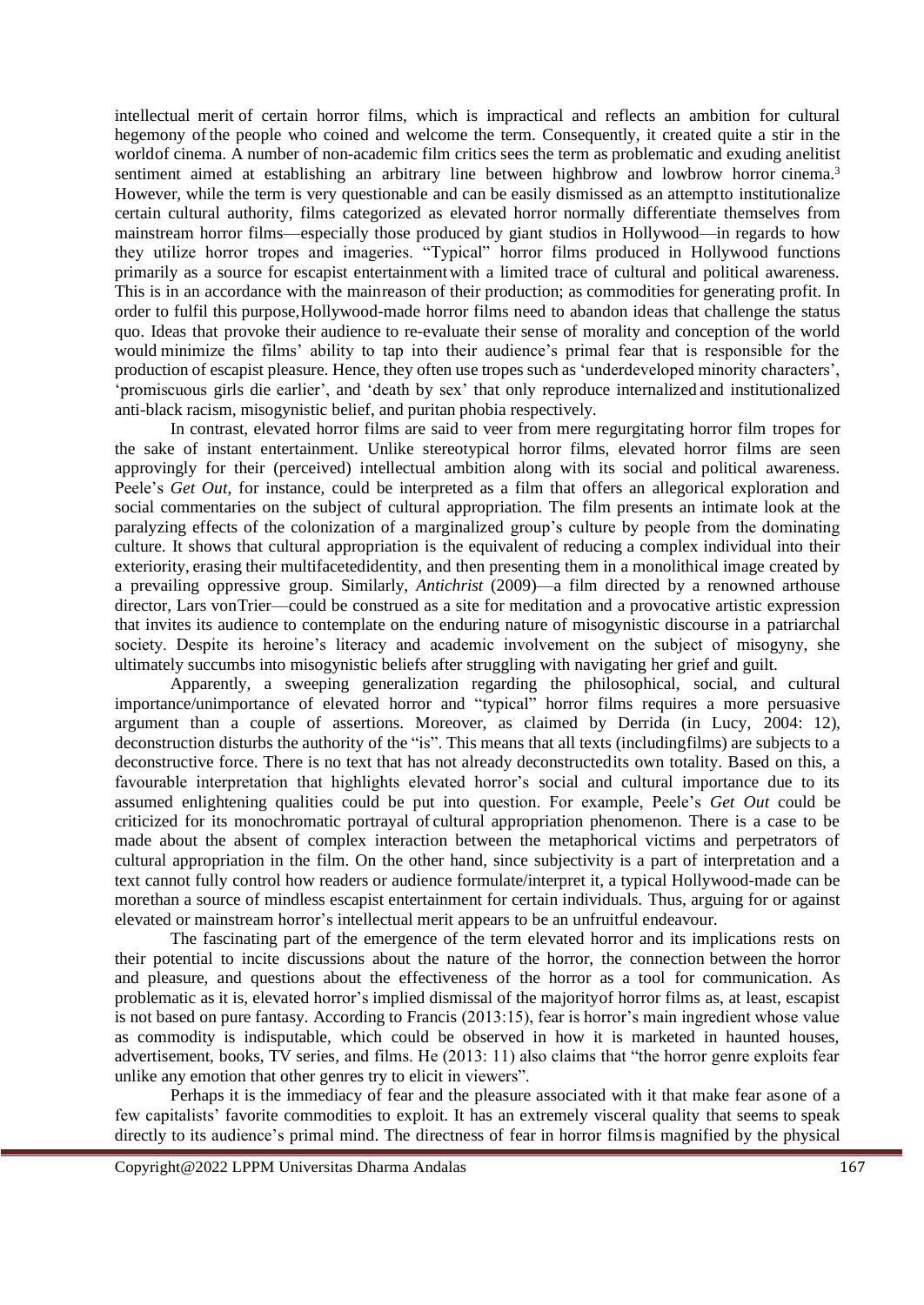intellectual merit of certain horror films, which is impractical and reflects an ambition for cultural hegemony ofthe people who coined and welcome the term. Consequently, it created quite a stir in the worldof cinema. A number of non-academic film critics sees the term as problematic and exuding anelitist sentiment aimed at establishing an arbitrary line between highbrow and lowbrow horror cinema.<sup>3</sup> However, while the term is very questionable and can be easily dismissed as an attemptto institutionalize certain cultural authority, films categorized as elevated horror normally differentiate themselves from mainstream horror films—especially those produced by giant studios in Hollywood—in regards to how they utilize horror tropes and imageries. "Typical" horror films produced in Hollywood functions primarily as a source for escapist entertainmentwith a limited trace of cultural and political awareness. This is in an accordance with the mainreason of their production; as commodities for generating profit. In order to fulfil this purpose,Hollywood-made horror films need to abandon ideas that challenge the status quo. Ideas that provoke their audience to re-evaluate their sense of morality and conception of the world would minimize the films' ability to tap into their audience's primal fear that is responsible for the production of escapist pleasure. Hence, they often use tropes such as 'underdeveloped minority characters', 'promiscuous girls die earlier', and 'death by sex' that only reproduce internalized and institutionalized anti-black racism, misogynistic belief, and puritan phobia respectively.

In contrast, elevated horror films are said to veer from mere regurgitating horror film tropes for the sake of instant entertainment. Unlike stereotypical horror films, elevated horror films are seen approvingly for their (perceived) intellectual ambition along with its social and political awareness. Peele's *Get Out*, for instance, could be interpreted as a film that offers an allegorical exploration and social commentaries on the subject of cultural appropriation. The film presents an intimate look at the paralyzing effects of the colonization of a marginalized group's culture by people from the dominating culture. It shows that cultural appropriation is the equivalent of reducing a complex individual into their exteriority, erasing their multifacetedidentity, and then presenting them in a monolithical image created by a prevailing oppressive group. Similarly, *Antichrist* (2009)—a film directed by a renowned arthouse director, Lars vonTrier—could be construed as a site for meditation and a provocative artistic expression that invites its audience to contemplate on the enduring nature of misogynistic discourse in a patriarchal society. Despite its heroine's literacy and academic involvement on the subject of misogyny, she ultimately succumbs into misogynistic beliefs after struggling with navigating her grief and guilt.

Apparently, a sweeping generalization regarding the philosophical, social, and cultural importance/unimportance of elevated horror and "typical" horror films requires a more persuasive argument than a couple of assertions. Moreover, as claimed by Derrida (in Lucy, 2004: 12), deconstruction disturbs the authority of the "is". This means that all texts (includingfilms) are subjects to a deconstructive force. There is no text that has not already deconstructedits own totality. Based on this, a favourable interpretation that highlights elevated horror's social and cultural importance due to its assumed enlightening qualities could be put into question. For example, Peele's *Get Out* could be criticized for its monochromatic portrayal of cultural appropriation phenomenon. There is a case to be made about the absent of complex interaction between the metaphorical victims and perpetrators of cultural appropriation in the film. On the other hand, since subjectivity is a part of interpretation and a text cannot fully control how readers or audience formulate/interpret it, a typical Hollywood-made can be morethan a source of mindless escapist entertainment for certain individuals. Thus, arguing for or against elevated or mainstream horror's intellectual merit appears to be an unfruitful endeavour.

The fascinating part of the emergence of the term elevated horror and its implications rests on their potential to incite discussions about the nature of the horror, the connection between the horror and pleasure, and questions about the effectiveness of the horror as a tool for communication. As problematic as it is, elevated horror's implied dismissal of the majorityof horror films as, at least, escapist is not based on pure fantasy. According to Francis (2013:15), fear is horror's main ingredient whose value as commodity is indisputable, which could be observed in how it is marketed in haunted houses, advertisement, books, TV series, and films. He (2013: 11) also claims that "the horror genre exploits fear unlike any emotion that other genres try to elicit in viewers".

Perhaps it is the immediacy of fear and the pleasure associated with it that make fear asone of a few capitalists' favorite commodities to exploit. It has an extremely visceral quality that seems to speak directly to its audience's primal mind. The directness of fear in horror filmsis magnified by the physical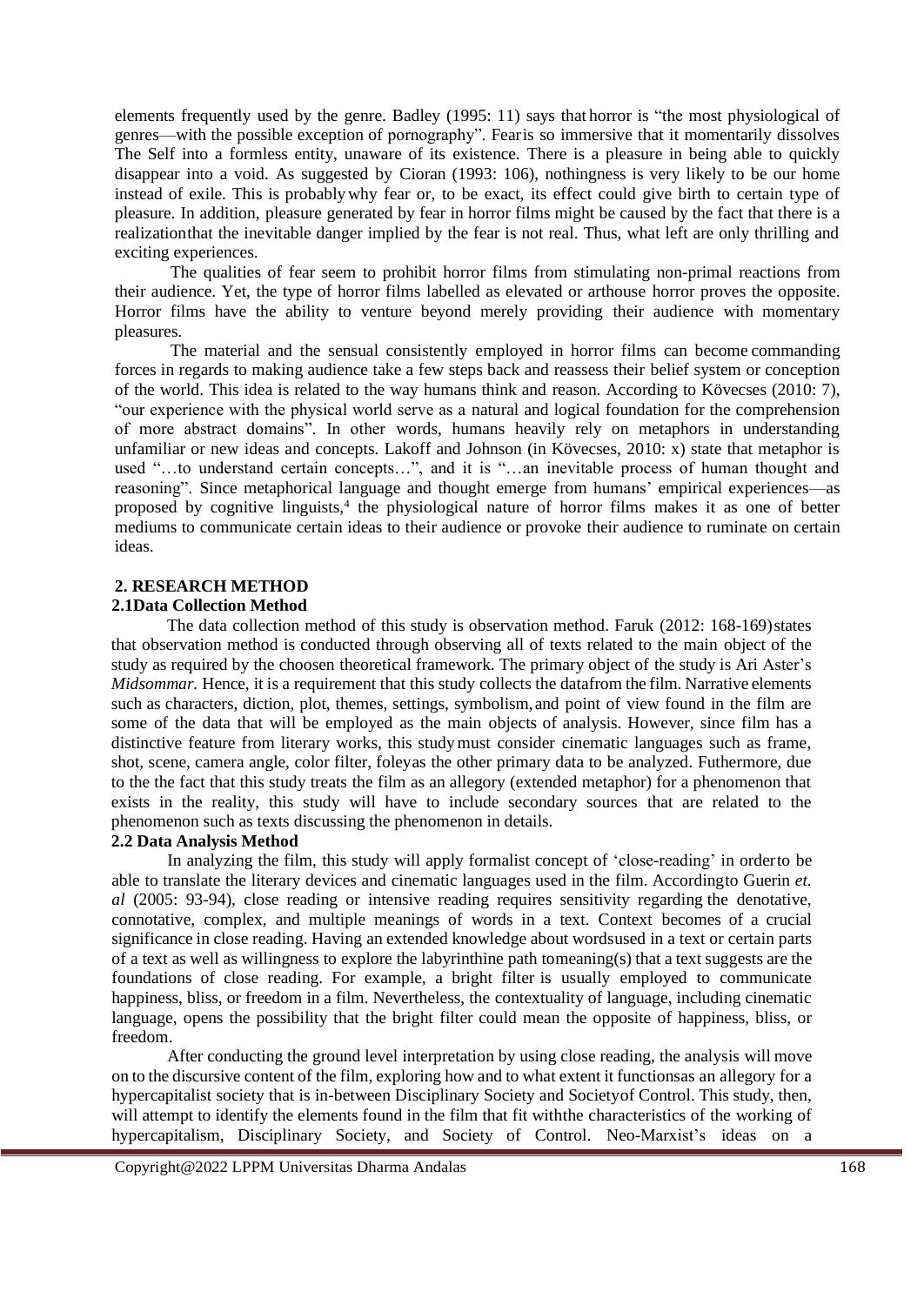elements frequently used by the genre. Badley (1995: 11) says that horror is "the most physiological of genres—with the possible exception of pornography". Fearis so immersive that it momentarily dissolves The Self into a formless entity, unaware of its existence. There is a pleasure in being able to quickly disappear into a void. As suggested by Cioran (1993: 106), nothingness is very likely to be our home instead of exile. This is probablywhy fear or, to be exact, its effect could give birth to certain type of pleasure. In addition, pleasure generated by fear in horror films might be caused by the fact that there is a realizationthat the inevitable danger implied by the fear is not real. Thus, what left are only thrilling and exciting experiences.

The qualities of fear seem to prohibit horror films from stimulating non-primal reactions from their audience. Yet, the type of horror films labelled as elevated or arthouse horror proves the opposite. Horror films have the ability to venture beyond merely providing their audience with momentary pleasures.

The material and the sensual consistently employed in horror films can become commanding forces in regards to making audience take a few steps back and reassess their belief system or conception of the world. This idea is related to the way humans think and reason. According to Kövecses (2010: 7), "our experience with the physical world serve as a natural and logical foundation for the comprehension of more abstract domains". In other words, humans heavily rely on metaphors in understanding unfamiliar or new ideas and concepts. Lakoff and Johnson (in Kövecses, 2010: x) state that metaphor is used "…to understand certain concepts…", and it is "…an inevitable process of human thought and reasoning". Since metaphorical language and thought emerge from humans' empirical experiences—as proposed by cognitive linguists,<sup>4</sup> the physiological nature of horror films makes it as one of better mediums to communicate certain ideas to their audience or provoke their audience to ruminate on certain ideas.

# **2. RESEARCH METHOD**

# **2.1Data Collection Method**

The data collection method of this study is observation method. Faruk (2012: 168-169)states that observation method is conducted through observing all of texts related to the main object of the study as required by the choosen theoretical framework. The primary object of the study is Ari Aster's *Midsommar.* Hence, it is a requirement that this study collects the datafrom the film. Narrative elements such as characters, diction, plot, themes, settings, symbolism,and point of view found in the film are some of the data that will be employed as the main objects of analysis. However, since film has a distinctive feature from literary works, this studymust consider cinematic languages such as frame, shot, scene, camera angle, color filter, foleyas the other primary data to be analyzed. Futhermore, due to the the fact that this study treats the film as an allegory (extended metaphor) for a phenomenon that exists in the reality, this study will have to include secondary sources that are related to the phenomenon such as texts discussing the phenomenon in details.

# **2.2 Data Analysis Method**

In analyzing the film, this study will apply formalist concept of 'close-reading' in orderto be able to translate the literary devices and cinematic languages used in the film. Accordingto Guerin *et. al* (2005: 93-94), close reading or intensive reading requires sensitivity regarding the denotative, connotative, complex, and multiple meanings of words in a text. Context becomes of a crucial significance in close reading. Having an extended knowledge about wordsused in a text or certain parts of a text as well as willingness to explore the labyrinthine path tomeaning(s) that a text suggests are the foundations of close reading. For example, a bright filter is usually employed to communicate happiness, bliss, or freedom in a film. Nevertheless, the contextuality of language, including cinematic language, opens the possibility that the bright filter could mean the opposite of happiness, bliss, or freedom.

After conducting the ground level interpretation by using close reading, the analysis will move on to the discursive content of the film, exploring how and to what extent it functionsas an allegory for a hypercapitalist society that is in-between Disciplinary Society and Societyof Control. This study, then, will attempt to identify the elements found in the film that fit withthe characteristics of the working of hypercapitalism, Disciplinary Society, and Society of Control. Neo-Marxist's ideas on a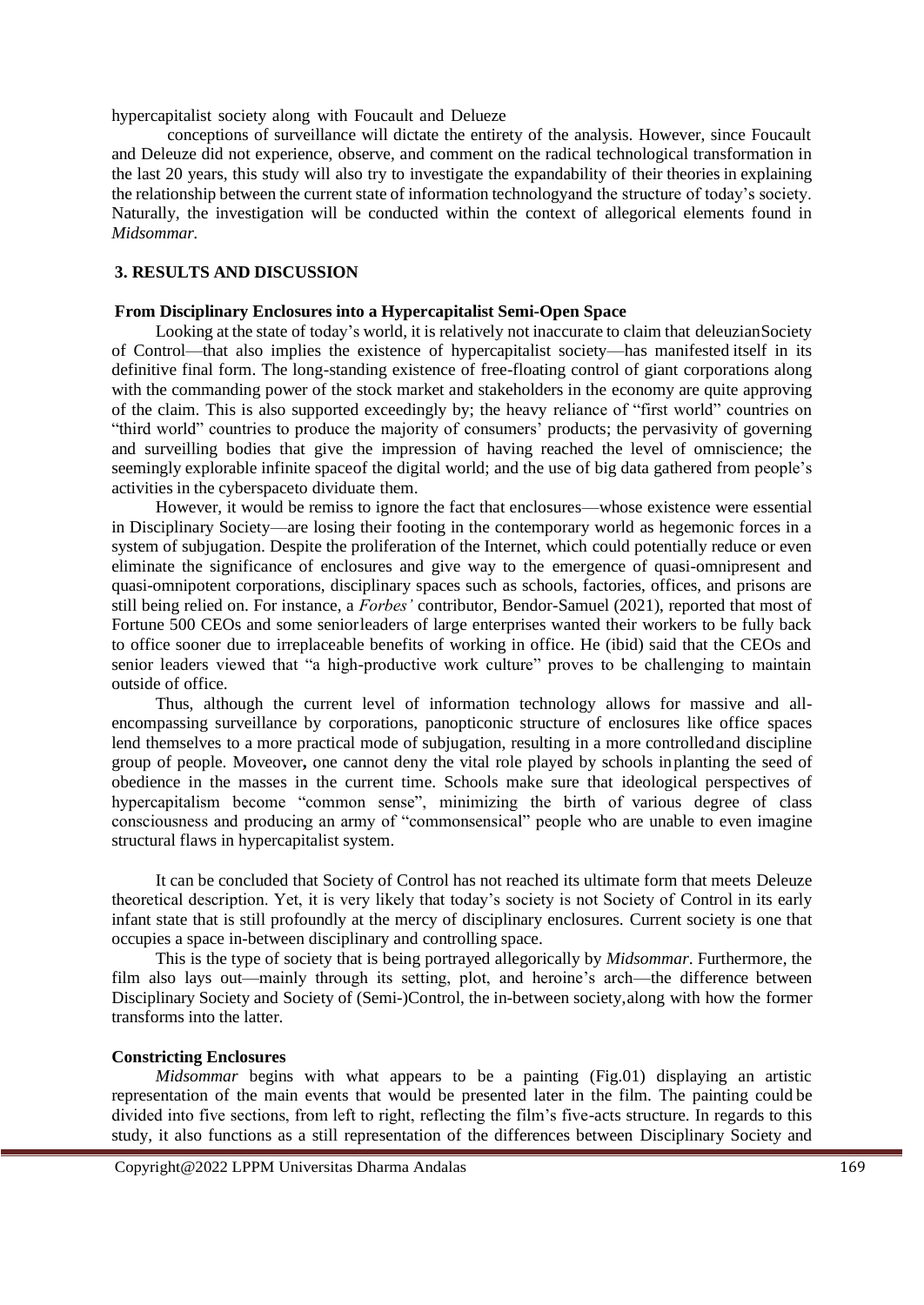hypercapitalist society along with Foucault and Delueze

conceptions of surveillance will dictate the entirety of the analysis. However, since Foucault and Deleuze did not experience, observe, and comment on the radical technological transformation in the last 20 years, this study will also try to investigate the expandability of their theories in explaining the relationship between the current state of information technologyand the structure of today's society. Naturally, the investigation will be conducted within the context of allegorical elements found in *Midsommar.*

# **3. RESULTS AND DISCUSSION**

#### **From Disciplinary Enclosures into a Hypercapitalist Semi-Open Space**

Looking at the state of today's world, it is relatively not inaccurate to claim that deleuzian Society of Control—that also implies the existence of hypercapitalist society—has manifested itself in its definitive final form. The long-standing existence of free-floating control of giant corporations along with the commanding power of the stock market and stakeholders in the economy are quite approving of the claim. This is also supported exceedingly by; the heavy reliance of "first world" countries on "third world" countries to produce the majority of consumers' products; the pervasivity of governing and surveilling bodies that give the impression of having reached the level of omniscience; the seemingly explorable infinite spaceof the digital world; and the use of big data gathered from people's activities in the cyberspaceto dividuate them.

However, it would be remiss to ignore the fact that enclosures—whose existence were essential in Disciplinary Society—are losing their footing in the contemporary world as hegemonic forces in a system of subjugation. Despite the proliferation of the Internet, which could potentially reduce or even eliminate the significance of enclosures and give way to the emergence of quasi-omnipresent and quasi-omnipotent corporations, disciplinary spaces such as schools, factories, offices, and prisons are still being relied on. For instance, a *Forbes'* contributor, Bendor-Samuel (2021), reported that most of Fortune 500 CEOs and some seniorleaders of large enterprises wanted their workers to be fully back to office sooner due to irreplaceable benefits of working in office. He (ibid) said that the CEOs and senior leaders viewed that "a high-productive work culture" proves to be challenging to maintain outside of office.

Thus, although the current level of information technology allows for massive and allencompassing surveillance by corporations, panopticonic structure of enclosures like office spaces lend themselves to a more practical mode of subjugation, resulting in a more controlledand discipline group of people. Moveover**,** one cannot deny the vital role played by schools inplanting the seed of obedience in the masses in the current time. Schools make sure that ideological perspectives of hypercapitalism become "common sense", minimizing the birth of various degree of class consciousness and producing an army of "commonsensical" people who are unable to even imagine structural flaws in hypercapitalist system.

It can be concluded that Society of Control has not reached its ultimate form that meets Deleuze theoretical description. Yet, it is very likely that today's society is not Society of Control in its early infant state that is still profoundly at the mercy of disciplinary enclosures. Current society is one that occupies a space in-between disciplinary and controlling space.

This is the type of society that is being portrayed allegorically by *Midsommar*. Furthermore, the film also lays out—mainly through its setting, plot, and heroine's arch—the difference between Disciplinary Society and Society of (Semi-)Control, the in-between society,along with how the former transforms into the latter.

#### **Constricting Enclosures**

*Midsommar* begins with what appears to be a painting (Fig.01) displaying an artistic representation of the main events that would be presented later in the film. The painting could be divided into five sections, from left to right, reflecting the film's five-acts structure. In regards to this study, it also functions as a still representation of the differences between Disciplinary Society and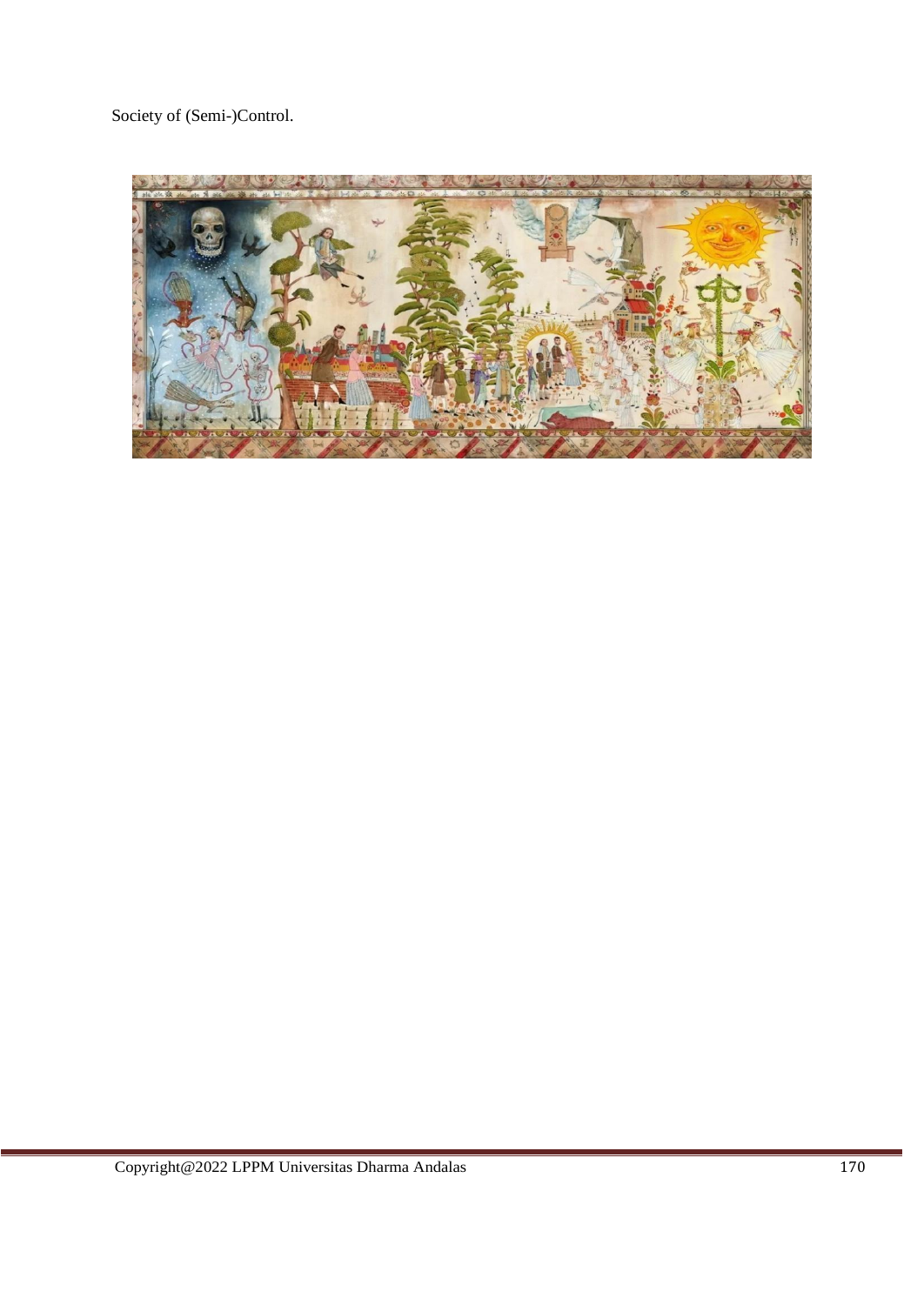Society of (Semi-)Control.

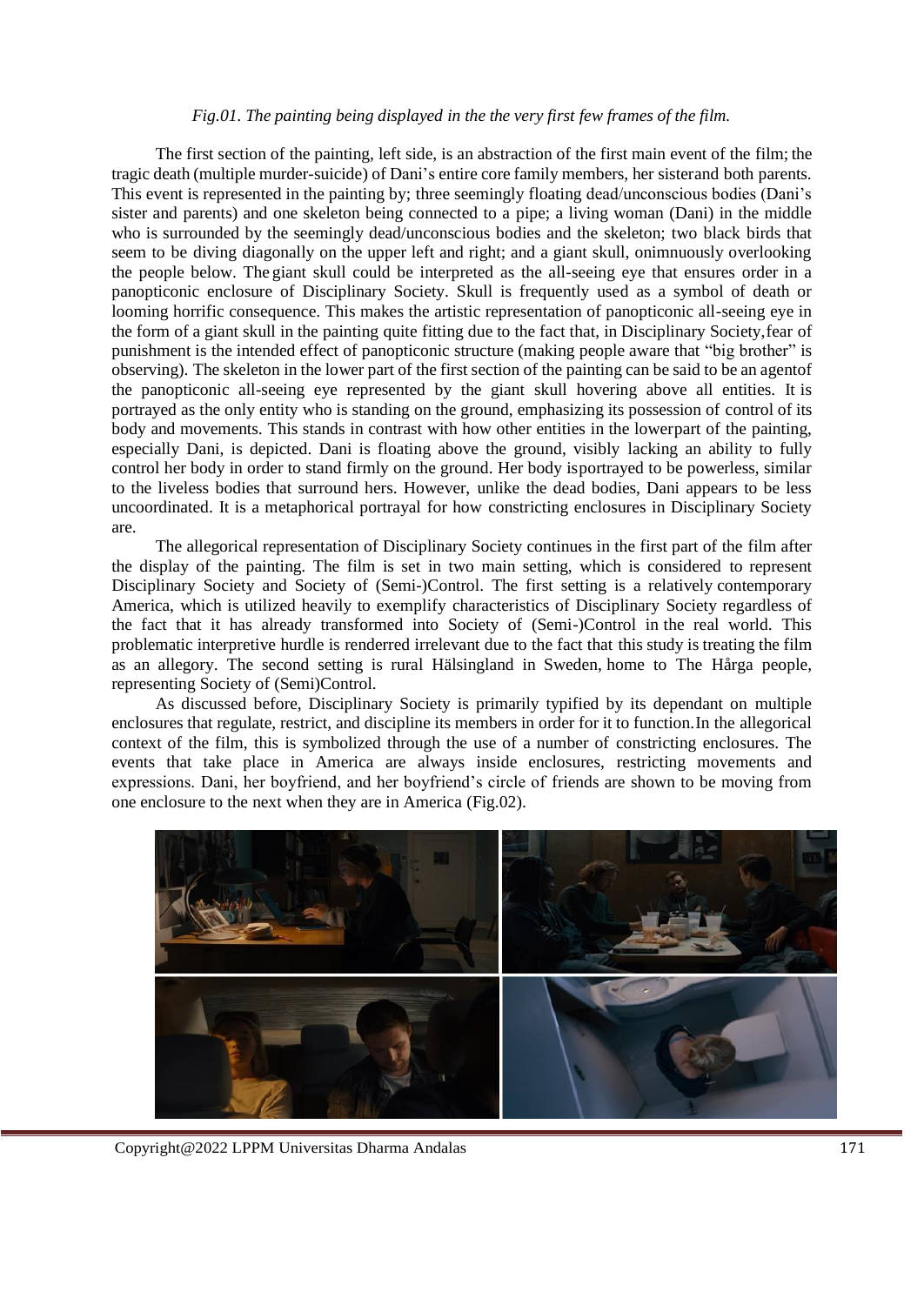# *Fig.01. The painting being displayed in the the very first few frames of the film.*

The first section of the painting, left side, is an abstraction of the first main event of the film; the tragic death (multiple murder-suicide) of Dani's entire core family members, her sisterand both parents. This event is represented in the painting by; three seemingly floating dead/unconscious bodies (Dani's sister and parents) and one skeleton being connected to a pipe; a living woman (Dani) in the middle who is surrounded by the seemingly dead/unconscious bodies and the skeleton; two black birds that seem to be diving diagonally on the upper left and right; and a giant skull, onimnuously overlooking the people below. The giant skull could be interpreted as the all-seeing eye that ensures order in a panopticonic enclosure of Disciplinary Society. Skull is frequently used as a symbol of death or looming horrific consequence. This makes the artistic representation of panopticonic all-seeing eye in the form of a giant skull in the painting quite fitting due to the fact that, in Disciplinary Society,fear of punishment is the intended effect of panopticonic structure (making people aware that "big brother" is observing). The skeleton in the lower part of the first section of the painting can be said to be an agentof the panopticonic all-seeing eye represented by the giant skull hovering above all entities. It is portrayed as the only entity who is standing on the ground, emphasizing its possession of control of its body and movements. This stands in contrast with how other entities in the lowerpart of the painting, especially Dani, is depicted. Dani is floating above the ground, visibly lacking an ability to fully control her body in order to stand firmly on the ground. Her body isportrayed to be powerless, similar to the liveless bodies that surround hers. However, unlike the dead bodies, Dani appears to be less uncoordinated. It is a metaphorical portrayal for how constricting enclosures in Disciplinary Society are.

The allegorical representation of Disciplinary Society continues in the first part of the film after the display of the painting. The film is set in two main setting, which is considered to represent Disciplinary Society and Society of (Semi-)Control. The first setting is a relatively contemporary America, which is utilized heavily to exemplify characteristics of Disciplinary Society regardless of the fact that it has already transformed into Society of (Semi-)Control in the real world. This problematic interpretive hurdle is renderred irrelevant due to the fact that this study is treating the film as an allegory. The second setting is rural Hälsingland in Sweden, home to The Hårga people, representing Society of (Semi)Control.

As discussed before, Disciplinary Society is primarily typified by its dependant on multiple enclosures that regulate, restrict, and discipline its members in order for it to function.In the allegorical context of the film, this is symbolized through the use of a number of constricting enclosures. The events that take place in America are always inside enclosures, restricting movements and expressions. Dani, her boyfriend, and her boyfriend's circle of friends are shown to be moving from one enclosure to the next when they are in America (Fig.02).



Copyright@2022 LPPM Universitas Dharma Andalas 171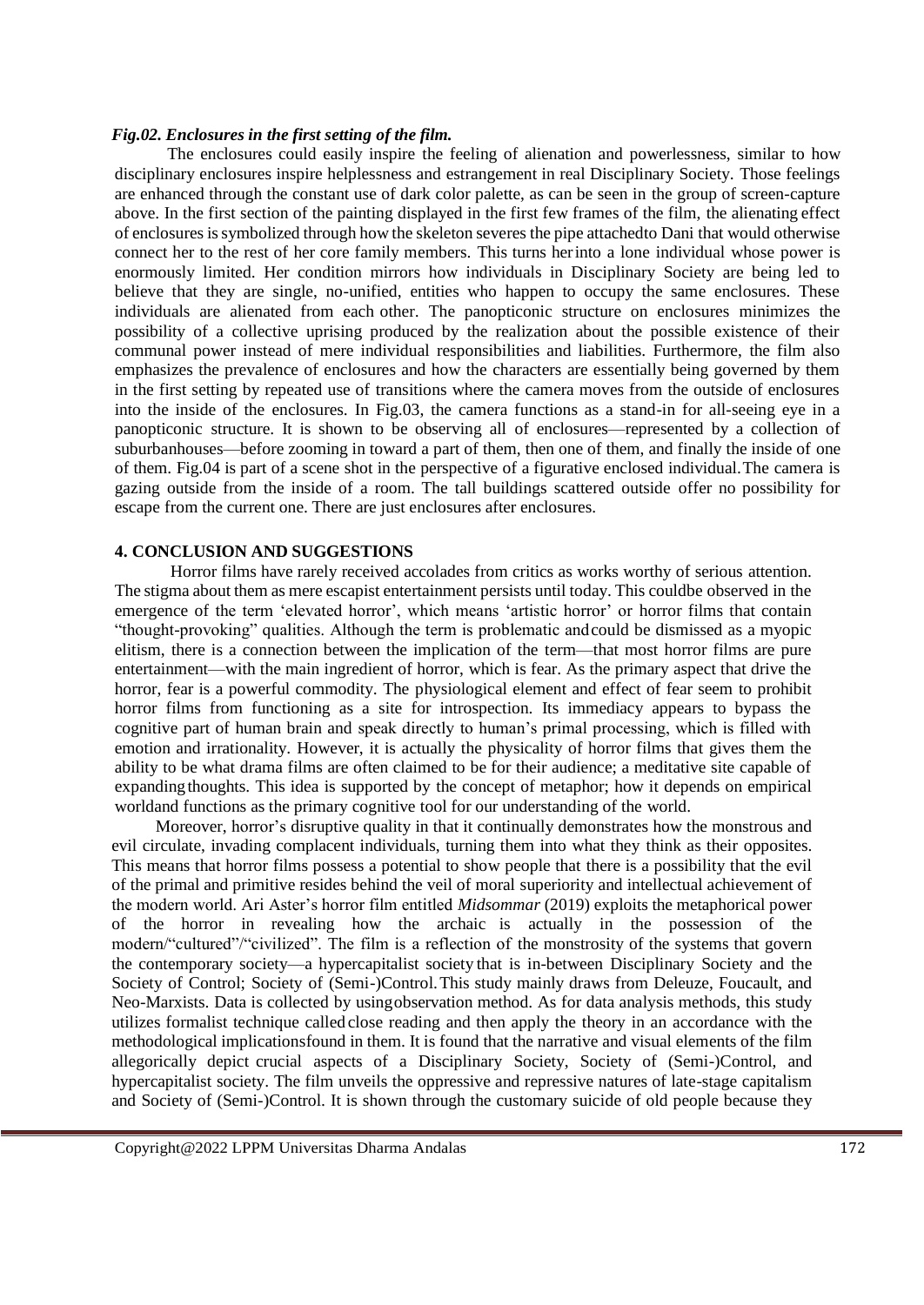### *Fig.02. Enclosures in the first setting of the film.*

The enclosures could easily inspire the feeling of alienation and powerlessness, similar to how disciplinary enclosures inspire helplessness and estrangement in real Disciplinary Society. Those feelings are enhanced through the constant use of dark color palette, as can be seen in the group of screen-capture above. In the first section of the painting displayed in the first few frames of the film, the alienating effect of enclosures issymbolized through how the skeleton severes the pipe attachedto Dani that would otherwise connect her to the rest of her core family members. This turns herinto a lone individual whose power is enormously limited. Her condition mirrors how individuals in Disciplinary Society are being led to believe that they are single, no-unified, entities who happen to occupy the same enclosures. These individuals are alienated from each other. The panopticonic structure on enclosures minimizes the possibility of a collective uprising produced by the realization about the possible existence of their communal power instead of mere individual responsibilities and liabilities. Furthermore, the film also emphasizes the prevalence of enclosures and how the characters are essentially being governed by them in the first setting by repeated use of transitions where the camera moves from the outside of enclosures into the inside of the enclosures. In Fig.03, the camera functions as a stand-in for all-seeing eye in a panopticonic structure. It is shown to be observing all of enclosures—represented by a collection of suburbanhouses—before zooming in toward a part of them, then one of them, and finally the inside of one of them. Fig.04 is part of a scene shot in the perspective of a figurative enclosed individual.The camera is gazing outside from the inside of a room. The tall buildings scattered outside offer no possibility for escape from the current one. There are just enclosures after enclosures.

# **4. CONCLUSION AND SUGGESTIONS**

Horror films have rarely received accolades from critics as works worthy of serious attention. The stigma about them as mere escapist entertainment persists until today. This couldbe observed in the emergence of the term 'elevated horror', which means 'artistic horror' or horror films that contain "thought-provoking" qualities. Although the term is problematic andcould be dismissed as a myopic elitism, there is a connection between the implication of the term—that most horror films are pure entertainment—with the main ingredient of horror, which is fear. As the primary aspect that drive the horror, fear is a powerful commodity. The physiological element and effect of fear seem to prohibit horror films from functioning as a site for introspection. Its immediacy appears to bypass the cognitive part of human brain and speak directly to human's primal processing, which is filled with emotion and irrationality. However, it is actually the physicality of horror films that gives them the ability to be what drama films are often claimed to be for their audience; a meditative site capable of expandingthoughts. This idea is supported by the concept of metaphor; how it depends on empirical worldand functions as the primary cognitive tool for our understanding of the world.

Moreover, horror's disruptive quality in that it continually demonstrates how the monstrous and evil circulate, invading complacent individuals, turning them into what they think as their opposites. This means that horror films possess a potential to show people that there is a possibility that the evil of the primal and primitive resides behind the veil of moral superiority and intellectual achievement of the modern world. Ari Aster's horror film entitled *Midsommar* (2019) exploits the metaphorical power of the horror in revealing how the archaic is actually in the possession of the modern/"cultured"/"civilized". The film is a reflection of the monstrosity of the systems that govern the contemporary society—a hypercapitalist society that is in-between Disciplinary Society and the Society of Control; Society of (Semi-)Control.This study mainly draws from Deleuze, Foucault, and Neo-Marxists. Data is collected by usingobservation method. As for data analysis methods, this study utilizes formalist technique called close reading and then apply the theory in an accordance with the methodological implicationsfound in them. It is found that the narrative and visual elements of the film allegorically depict crucial aspects of a Disciplinary Society, Society of (Semi-)Control, and hypercapitalist society. The film unveils the oppressive and repressive natures of late-stage capitalism and Society of (Semi-)Control. It is shown through the customary suicide of old people because they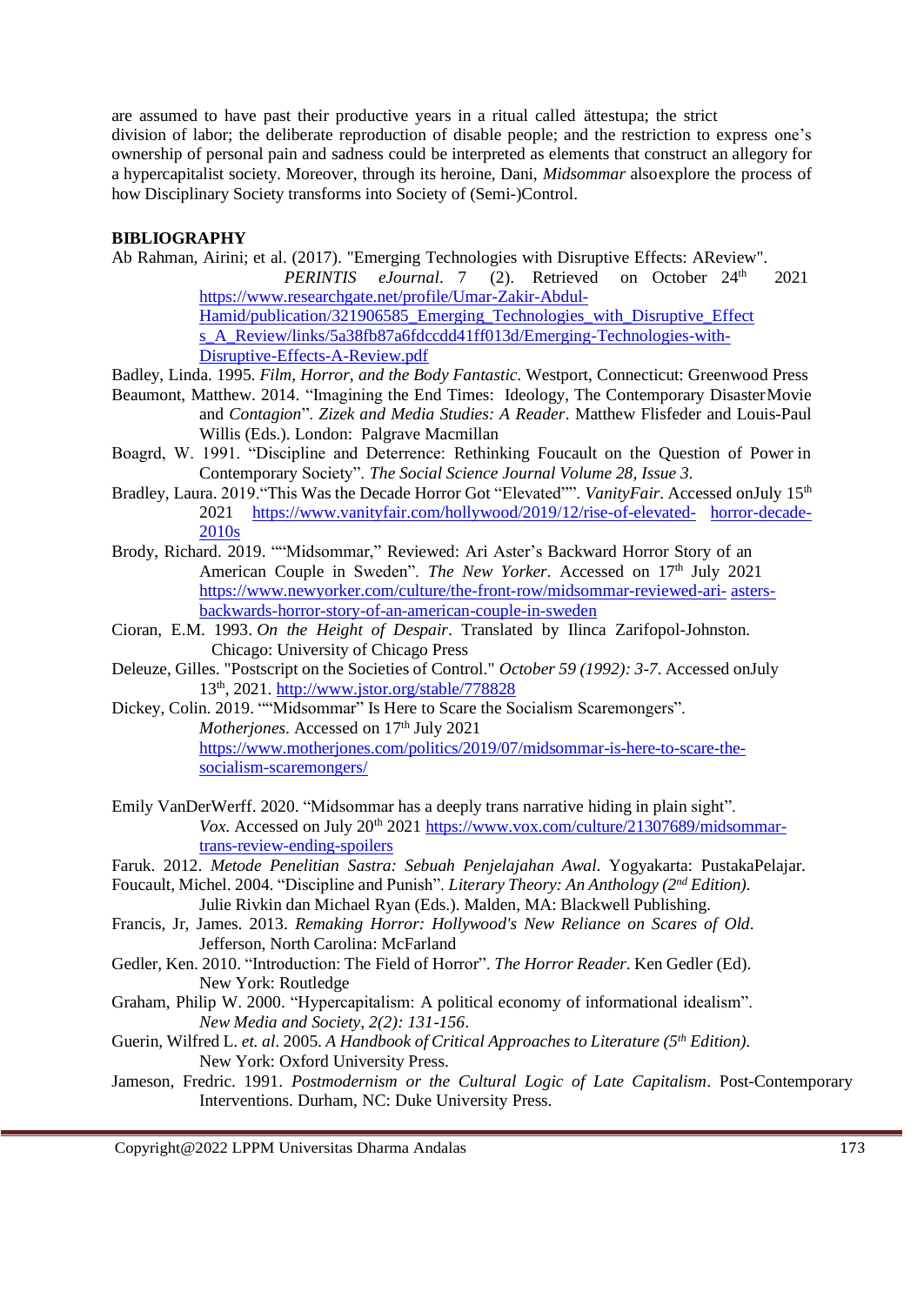are assumed to have past their productive years in a ritual called ättestupa; the strict division of labor; the deliberate reproduction of disable people; and the restriction to express one's ownership of personal pain and sadness could be interpreted as elements that construct an allegory for a hypercapitalist society. Moreover, through its heroine, Dani, *Midsommar* alsoexplore the process of how Disciplinary Society transforms into Society of (Semi-)Control.

# **BIBLIOGRAPHY**

Ab Rahman, Airini; et al. (2017). "Emerging Technologies with Disruptive Effects: AReview".

*PERINTIS eJournal.* 7 (2). Retrieved on October 24<sup>th</sup> 2021 [https://www.researchgate.net/profile/Umar-Zakir-Abdul-](https://www.researchgate.net/profile/Umar-Zakir-Abdul-Hamid/publication/321906585_Emerging_Technologies_with_Disruptive_Effects_A_Review/links/5a38fb87a6fdccdd41ff013d/Emerging-Technologies-with-Disruptive-Effects-A-Review.pdf)[Hamid/publication/321906585\\_Emerging\\_Technologies\\_with\\_Disruptive\\_Effect](https://www.researchgate.net/profile/Umar-Zakir-Abdul-Hamid/publication/321906585_Emerging_Technologies_with_Disruptive_Effects_A_Review/links/5a38fb87a6fdccdd41ff013d/Emerging-Technologies-with-Disruptive-Effects-A-Review.pdf) s A\_Review/links/5a38fb87a6fdccdd41ff013d/Emerging-Technologies-with-[Disruptive-Effects-A-Review.pdf](https://www.researchgate.net/profile/Umar-Zakir-Abdul-Hamid/publication/321906585_Emerging_Technologies_with_Disruptive_Effects_A_Review/links/5a38fb87a6fdccdd41ff013d/Emerging-Technologies-with-Disruptive-Effects-A-Review.pdf)

- Badley, Linda. 1995. *Film, Horror, and the Body Fantastic*. Westport, Connecticut: Greenwood Press
- Beaumont, Matthew. 2014. "Imagining the End Times: Ideology, The Contemporary DisasterMovie and *Contagion*". *Zizek and Media Studies: A Reader*. Matthew Flisfeder and Louis-Paul Willis (Eds.). London: Palgrave Macmillan
- Boagrd, W. 1991. "Discipline and Deterrence: Rethinking Foucault on the Question of Power in Contemporary Society". *The Social Science Journal Volume 28, Issue 3.*
- Bradley, Laura. 2019. "This Was the Decade Horror Got "Elevated"". *VanityFair*. Accessed onJuly 15<sup>th</sup> 2021 [https://www.vanityfair.com/hollywood/2019/12/rise-of-elevated-](https://www.vanityfair.com/hollywood/2019/12/rise-of-elevated-horror-decade-2010s) [horror-decade-](https://www.vanityfair.com/hollywood/2019/12/rise-of-elevated-horror-decade-2010s)[2010s](https://www.vanityfair.com/hollywood/2019/12/rise-of-elevated-horror-decade-2010s)
- Brody, Richard. 2019. ""Midsommar," Reviewed: Ari Aster's Backward Horror Story of an American Couple in Sweden". *The New Yorker*. Accessed on 17<sup>th</sup> July 2021 [https://www.newyorker.com/culture/the-front-row/midsommar-reviewed-ari-](https://www.newyorker.com/culture/the-front-row/midsommar-reviewed-ari-asters-backwards-horror-story-of-an-american-couple-in-sweden) [asters](https://www.newyorker.com/culture/the-front-row/midsommar-reviewed-ari-asters-backwards-horror-story-of-an-american-couple-in-sweden)[backwards-horror-story-of-an-american-couple-in-sweden](https://www.newyorker.com/culture/the-front-row/midsommar-reviewed-ari-asters-backwards-horror-story-of-an-american-couple-in-sweden)
- Cioran, E.M. 1993. *On the Height of Despair*. Translated by Ilinca Zarifopol-Johnston. Chicago: University of Chicago Press
- Deleuze, Gilles. "Postscript on the Societies of Control." *October 59 (1992): 3-7*. Accessed onJuly 13th, 2021.<http://www.jstor.org/stable/778828>
- Dickey, Colin. 2019. ""Midsommar" Is Here to Scare the Socialism Scaremongers". *Motherjones*. Accessed on 17<sup>th</sup> July 2021 [https://www.motherjones.com/politics/2019/07/midsommar-is-here-to-scare-the](https://www.motherjones.com/politics/2019/07/midsommar-is-here-to-scare-the-socialism-scaremongers/)[socialism-scaremongers/](https://www.motherjones.com/politics/2019/07/midsommar-is-here-to-scare-the-socialism-scaremongers/)
- Emily VanDerWerff. 2020. "Midsommar has a deeply trans narrative hiding in plain sight". *Vox.* Accessed on July 20<sup>th</sup> 2021 https://www.vox.com/culture/21307689/midsommartrans-review-ending-spoilers
- Faruk. 2012. *Metode Penelitian Sastra: Sebuah Penjelajahan Awal*. Yogyakarta: PustakaPelajar.
- Foucault, Michel. 2004. "Discipline and Punish". *Literary Theory: An Anthology (2nd Edition).* Julie Rivkin dan Michael Ryan (Eds.). Malden, MA: Blackwell Publishing.
- Francis, Jr, James. 2013. *Remaking Horror: Hollywood's New Reliance on Scares of Old*. Jefferson, North Carolina: McFarland
- Gedler, Ken. 2010. "Introduction: The Field of Horror". *The Horror Reader*. Ken Gedler (Ed). New York: Routledge
- Graham, Philip W. 2000. "Hypercapitalism: A political economy of informational idealism". *New Media and Society, 2(2): 131-156*.
- Guerin, Wilfred L. *et. al*. 2005. *A Handbook of Critical Approaches to Literature (5th Edition).* New York: Oxford University Press.
- Jameson, Fredric. 1991. *Postmodernism or the Cultural Logic of Late Capitalism*. Post-Contemporary Interventions. Durham, NC: Duke University Press.